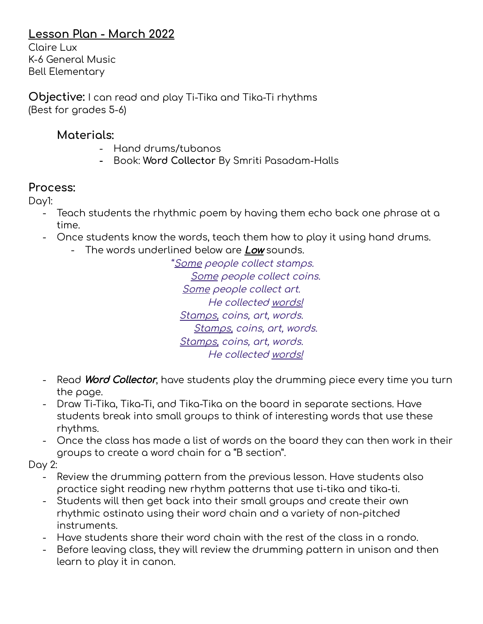## **Lesson Plan - March 2022**

Claire Lux K-6 General Music Bell Elementary

**Objective:** I can read and play Ti-Tika and Tika-Ti rhythms (Best for grades 5-6)

### **Materials:**

- Hand drums/tubanos
- **-** Book: **Word Collector** By Smriti Pasadam-Halls

### **Process:**

Day1:

- Teach students the rhythmic poem by having them echo back one phrase at a time.
- Once students know the words, teach them how to play it using hand drums.
	- The words underlined below are Low sounds.

"Some people collect stamps. Some people collect coins. Some people collect art. He collected words! Stamps, coins, art, words. Stamps, coins, art, words. Stamps, coins, art, words. He collected words!

- Read **Word Collector**, have students play the drumming piece every time you turn the page.
- Draw Ti-Tika, Tika-Ti, and Tika-Tika on the board in separate sections. Have students break into small groups to think of interesting words that use these rhythms.
- Once the class has made a list of words on the board they can then work in their groups to create a word chain for a "B section".

### Day 2:

- Review the drumming pattern from the previous lesson. Have students also practice sight reading new rhythm patterns that use ti-tika and tika-ti.
- Students will then get back into their small groups and create their own rhythmic ostinato using their word chain and a variety of non-pitched instruments.
- Have students share their word chain with the rest of the class in a rondo.
- Before leaving class, they will review the drumming pattern in unison and then learn to play it in canon.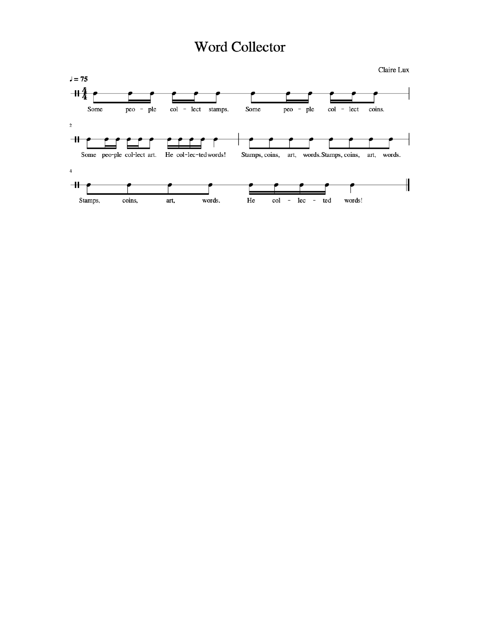# **Word Collector**

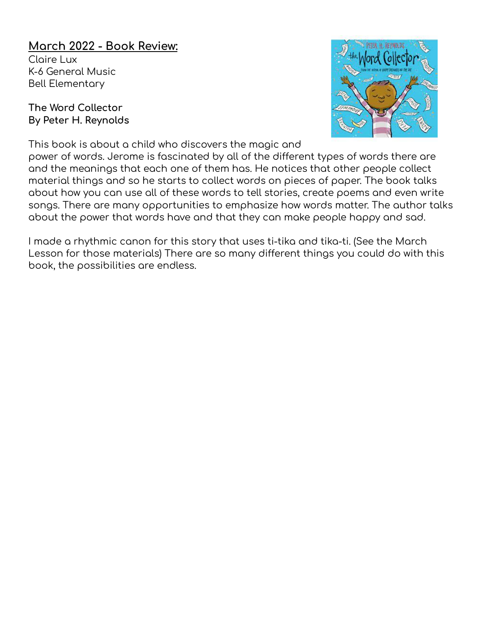## **March 2022 - Book Review:**

Claire Lux K-6 General Music Bell Elementary

#### **The Word Collector By Peter H. Reynolds**

This book is about a child who discovers the magic and



power of words. Jerome is fascinated by all of the different types of words there are and the meanings that each one of them has. He notices that other people collect material things and so he starts to collect words on pieces of paper. The book talks about how you can use all of these words to tell stories, create poems and even write songs. There are many opportunities to emphasize how words matter. The author talks about the power that words have and that they can make people happy and sad.

I made a rhythmic canon for this story that uses ti-tika and tika-ti. (See the March Lesson for those materials) There are so many different things you could do with this book, the possibilities are endless.